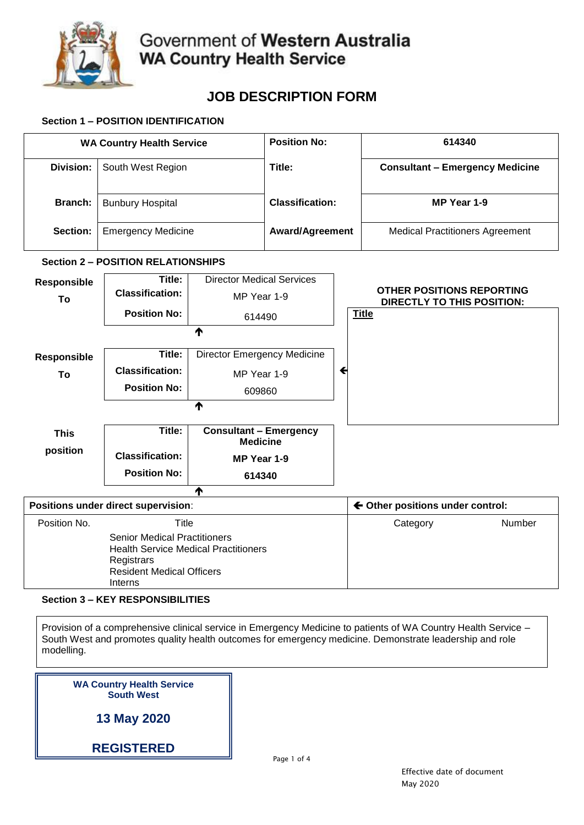

# **JOB DESCRIPTION FORM**

## **Section 1 – POSITION IDENTIFICATION**

| <b>WA Country Health Service</b>                                                                                                                |                                            | <b>Position No:</b>                              |                        |  | 614340                           |                                                                       |        |  |
|-------------------------------------------------------------------------------------------------------------------------------------------------|--------------------------------------------|--------------------------------------------------|------------------------|--|----------------------------------|-----------------------------------------------------------------------|--------|--|
| <b>Division:</b>                                                                                                                                | South West Region                          |                                                  | Title:                 |  |                                  | <b>Consultant - Emergency Medicine</b>                                |        |  |
| <b>Branch:</b>                                                                                                                                  | <b>Bunbury Hospital</b>                    |                                                  | <b>Classification:</b> |  |                                  | MP Year 1-9                                                           |        |  |
| Section:                                                                                                                                        | <b>Emergency Medicine</b>                  |                                                  | <b>Award/Agreement</b> |  |                                  | <b>Medical Practitioners Agreement</b>                                |        |  |
|                                                                                                                                                 | <b>Section 2 - POSITION RELATIONSHIPS</b>  |                                                  |                        |  |                                  |                                                                       |        |  |
| Responsible                                                                                                                                     | <b>Director Medical Services</b><br>Title: |                                                  |                        |  |                                  |                                                                       |        |  |
| To                                                                                                                                              | <b>Classification:</b>                     | MP Year 1-9<br>614490                            |                        |  |                                  | <b>OTHER POSITIONS REPORTING</b><br><b>DIRECTLY TO THIS POSITION:</b> |        |  |
|                                                                                                                                                 | <b>Position No:</b>                        |                                                  |                        |  | <b>Title</b>                     |                                                                       |        |  |
|                                                                                                                                                 |                                            | ↑                                                |                        |  |                                  |                                                                       |        |  |
| Responsible                                                                                                                                     | Title:                                     | <b>Director Emergency Medicine</b>               |                        |  |                                  |                                                                       |        |  |
| To                                                                                                                                              | <b>Classification:</b>                     | MP Year 1-9                                      | $\blacklozenge$        |  |                                  |                                                                       |        |  |
|                                                                                                                                                 | <b>Position No:</b>                        |                                                  |                        |  |                                  |                                                                       |        |  |
| 609860<br>个                                                                                                                                     |                                            |                                                  |                        |  |                                  |                                                                       |        |  |
|                                                                                                                                                 |                                            |                                                  |                        |  |                                  |                                                                       |        |  |
| <b>This</b>                                                                                                                                     | Title:                                     | <b>Consultant - Emergency</b><br><b>Medicine</b> |                        |  |                                  |                                                                       |        |  |
| position                                                                                                                                        | <b>Classification:</b>                     | MP Year 1-9                                      |                        |  |                                  |                                                                       |        |  |
|                                                                                                                                                 | <b>Position No:</b>                        | 614340                                           |                        |  |                                  |                                                                       |        |  |
| 个                                                                                                                                               |                                            |                                                  |                        |  |                                  |                                                                       |        |  |
| Positions under direct supervision:                                                                                                             |                                            |                                                  |                        |  | ← Other positions under control: |                                                                       |        |  |
| Position No.                                                                                                                                    | Title                                      |                                                  |                        |  |                                  | Category                                                              | Number |  |
| <b>Senior Medical Practitioners</b><br><b>Health Service Medical Practitioners</b><br>Registrars<br><b>Resident Medical Officers</b><br>Interns |                                            |                                                  |                        |  |                                  |                                                                       |        |  |

**Section 3 – KEY RESPONSIBILITIES**

Provision of a comprehensive clinical service in Emergency Medicine to patients of WA Country Health Service – South West and promotes quality health outcomes for emergency medicine. Demonstrate leadership and role modelling.

| <b>WA Country Health Service</b> |  |
|----------------------------------|--|
| <b>South West</b>                |  |
|                                  |  |

**13 May 2020**

**REGISTERED**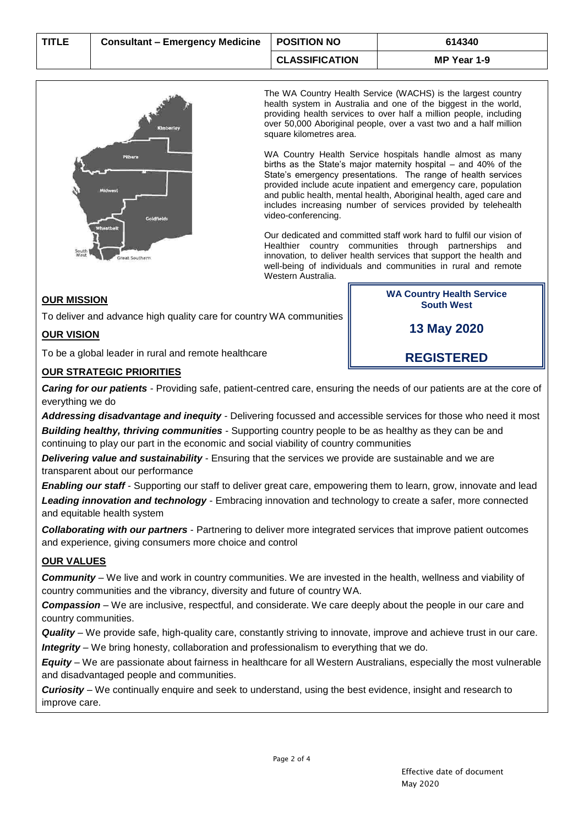

The WA Country Health Service (WACHS) is the largest country health system in Australia and one of the biggest in the world, providing health services to over half a million people, including over 50,000 Aboriginal people, over a vast two and a half million square kilometres area.

WA Country Health Service hospitals handle almost as many births as the State's major maternity hospital – and 40% of the State's emergency presentations. The range of health services provided include acute inpatient and emergency care, population and public health, mental health, Aboriginal health, aged care and includes increasing number of services provided by telehealth video-conferencing.

Our dedicated and committed staff work hard to fulfil our vision of Healthier country communities through partnerships and innovation*,* to deliver health services that support the health and well-being of individuals and communities in rural and remote Western Australia.

## **OUR MISSION**

To deliver and advance high quality care for country WA communities

## **OUR VISION**

To be a global leader in rural and remote healthcare

## **OUR STRATEGIC PRIORITIES**

*Caring for our patients -* Providing safe, patient-centred care, ensuring the needs of our patients are at the core of everything we do

*Addressing disadvantage and inequity -* Delivering focussed and accessible services for those who need it most *Building healthy, thriving communities* - Supporting country people to be as healthy as they can be and continuing to play our part in the economic and social viability of country communities

*Delivering value and sustainability -* Ensuring that the services we provide are sustainable and we are transparent about our performance

*Enabling our staff* - Supporting our staff to deliver great care, empowering them to learn, grow, innovate and lead *Leading innovation and technology* - Embracing innovation and technology to create a safer, more connected and equitable health system

*Collaborating with our partners* - Partnering to deliver more integrated services that improve patient outcomes and experience, giving consumers more choice and control

### **OUR VALUES**

*Community* – We live and work in country communities. We are invested in the health, wellness and viability of country communities and the vibrancy, diversity and future of country WA.

*Compassion* – We are inclusive, respectful, and considerate. We care deeply about the people in our care and country communities.

*Quality* – We provide safe, high-quality care, constantly striving to innovate, improve and achieve trust in our care. *Integrity* – We bring honesty, collaboration and professionalism to everything that we do.

*Equity* – We are passionate about fairness in healthcare for all Western Australians, especially the most vulnerable and disadvantaged people and communities.

*Curiosity* – We continually enquire and seek to understand, using the best evidence, insight and research to improve care.

**WA Country Health Service South West**

**13 May 2020**

**REGISTERED**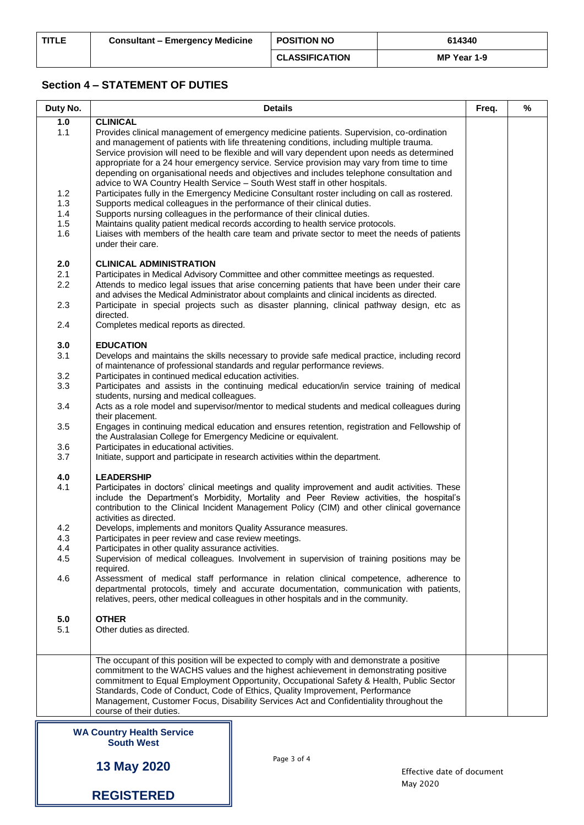# **Section 4 – STATEMENT OF DUTIES**

| Duty No.   | <b>Details</b>                                                                                                                                                                                                                                                                                                                                                                                                                                                                                                                                           | Freq. | % |
|------------|----------------------------------------------------------------------------------------------------------------------------------------------------------------------------------------------------------------------------------------------------------------------------------------------------------------------------------------------------------------------------------------------------------------------------------------------------------------------------------------------------------------------------------------------------------|-------|---|
| 1.0        | <b>CLINICAL</b>                                                                                                                                                                                                                                                                                                                                                                                                                                                                                                                                          |       |   |
| 1.1        | Provides clinical management of emergency medicine patients. Supervision, co-ordination<br>and management of patients with life threatening conditions, including multiple trauma.<br>Service provision will need to be flexible and will vary dependent upon needs as determined<br>appropriate for a 24 hour emergency service. Service provision may vary from time to time<br>depending on organisational needs and objectives and includes telephone consultation and<br>advice to WA Country Health Service - South West staff in other hospitals. |       |   |
| 1.2<br>1.3 | Participates fully in the Emergency Medicine Consultant roster including on call as rostered.<br>Supports medical colleagues in the performance of their clinical duties.                                                                                                                                                                                                                                                                                                                                                                                |       |   |
| 1.4        | Supports nursing colleagues in the performance of their clinical duties.                                                                                                                                                                                                                                                                                                                                                                                                                                                                                 |       |   |
| 1.5        | Maintains quality patient medical records according to health service protocols.                                                                                                                                                                                                                                                                                                                                                                                                                                                                         |       |   |
| 1.6        | Liaises with members of the health care team and private sector to meet the needs of patients<br>under their care.                                                                                                                                                                                                                                                                                                                                                                                                                                       |       |   |
| 2.0        | <b>CLINICAL ADMINISTRATION</b>                                                                                                                                                                                                                                                                                                                                                                                                                                                                                                                           |       |   |
| 2.1        | Participates in Medical Advisory Committee and other committee meetings as requested.                                                                                                                                                                                                                                                                                                                                                                                                                                                                    |       |   |
| 2.2        | Attends to medico legal issues that arise concerning patients that have been under their care<br>and advises the Medical Administrator about complaints and clinical incidents as directed.                                                                                                                                                                                                                                                                                                                                                              |       |   |
| 2.3        | Participate in special projects such as disaster planning, clinical pathway design, etc as<br>directed.                                                                                                                                                                                                                                                                                                                                                                                                                                                  |       |   |
| 2.4<br>3.0 | Completes medical reports as directed.<br><b>EDUCATION</b>                                                                                                                                                                                                                                                                                                                                                                                                                                                                                               |       |   |
| 3.1        | Develops and maintains the skills necessary to provide safe medical practice, including record                                                                                                                                                                                                                                                                                                                                                                                                                                                           |       |   |
| 3.2        | of maintenance of professional standards and regular performance reviews.<br>Participates in continued medical education activities.                                                                                                                                                                                                                                                                                                                                                                                                                     |       |   |
| 3.3        | Participates and assists in the continuing medical education/in service training of medical<br>students, nursing and medical colleagues.                                                                                                                                                                                                                                                                                                                                                                                                                 |       |   |
| 3.4        | Acts as a role model and supervisor/mentor to medical students and medical colleagues during<br>their placement.                                                                                                                                                                                                                                                                                                                                                                                                                                         |       |   |
| 3.5<br>3.6 | Engages in continuing medical education and ensures retention, registration and Fellowship of<br>the Australasian College for Emergency Medicine or equivalent.<br>Participates in educational activities.                                                                                                                                                                                                                                                                                                                                               |       |   |
| 3.7        | Initiate, support and participate in research activities within the department.                                                                                                                                                                                                                                                                                                                                                                                                                                                                          |       |   |
| 4.0        | <b>LEADERSHIP</b>                                                                                                                                                                                                                                                                                                                                                                                                                                                                                                                                        |       |   |
| 4.1        | Participates in doctors' clinical meetings and quality improvement and audit activities. These<br>include the Department's Morbidity, Mortality and Peer Review activities, the hospital's<br>contribution to the Clinical Incident Management Policy (CIM) and other clinical governance<br>activities as directed.                                                                                                                                                                                                                                     |       |   |
| 4.2        | Develops, implements and monitors Quality Assurance measures.                                                                                                                                                                                                                                                                                                                                                                                                                                                                                            |       |   |
| 4.3<br>4.4 | Participates in peer review and case review meetings.<br>Participates in other quality assurance activities.                                                                                                                                                                                                                                                                                                                                                                                                                                             |       |   |
| 4.5        | Supervision of medical colleagues. Involvement in supervision of training positions may be<br>required.                                                                                                                                                                                                                                                                                                                                                                                                                                                  |       |   |
| 4.6        | Assessment of medical staff performance in relation clinical competence, adherence to<br>departmental protocols, timely and accurate documentation, communication with patients,<br>relatives, peers, other medical colleagues in other hospitals and in the community.                                                                                                                                                                                                                                                                                  |       |   |
| 5.0        | <b>OTHER</b>                                                                                                                                                                                                                                                                                                                                                                                                                                                                                                                                             |       |   |
| 5.1        | Other duties as directed.                                                                                                                                                                                                                                                                                                                                                                                                                                                                                                                                |       |   |
|            | The occupant of this position will be expected to comply with and demonstrate a positive<br>commitment to the WACHS values and the highest achievement in demonstrating positive<br>commitment to Equal Employment Opportunity, Occupational Safety & Health, Public Sector<br>Standards, Code of Conduct, Code of Ethics, Quality Improvement, Performance<br>Management, Customer Focus, Disability Services Act and Confidentiality throughout the<br>course of their duties.                                                                         |       |   |
|            | <b>WA Country Health Service</b><br><b>South West</b>                                                                                                                                                                                                                                                                                                                                                                                                                                                                                                    |       |   |

**13 May 2020**

**REGISTERED**